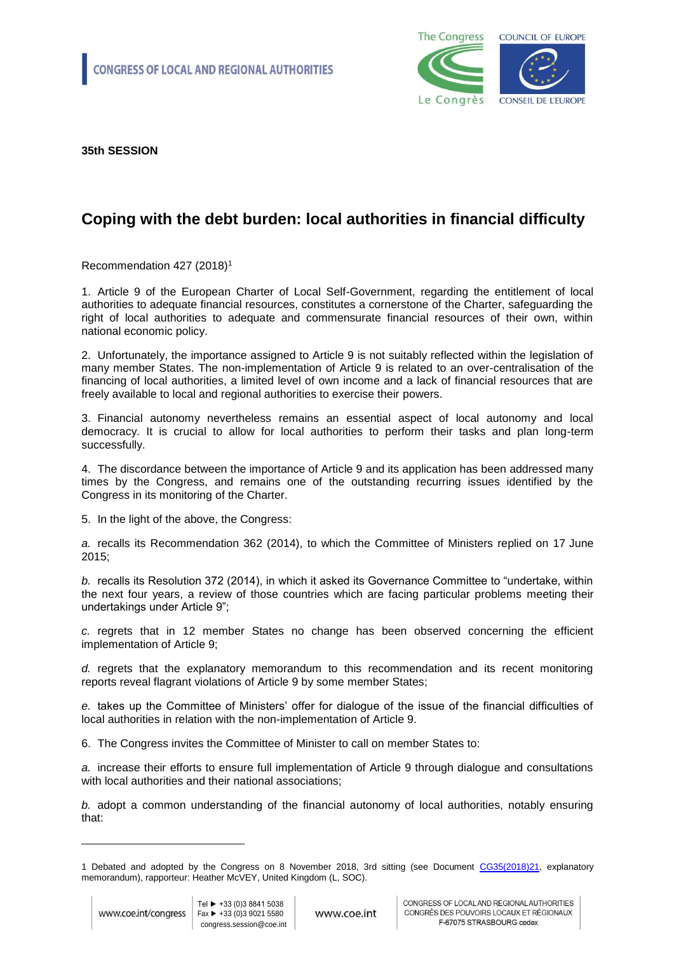

**35th SESSION** 

## **Coping with the debt burden: local authorities in financial difficulty**

Recommendation 427 (2018)<sup>1</sup>

1. Article 9 of the European Charter of Local Self-Government, regarding the entitlement of local authorities to adequate financial resources, constitutes a cornerstone of the Charter, safeguarding the right of local authorities to adequate and commensurate financial resources of their own, within national economic policy.

2. Unfortunately, the importance assigned to Article 9 is not suitably reflected within the legislation of many member States. The non-implementation of Article 9 is related to an over-centralisation of the financing of local authorities, a limited level of own income and a lack of financial resources that are freely available to local and regional authorities to exercise their powers.

3. Financial autonomy nevertheless remains an essential aspect of local autonomy and local democracy. It is crucial to allow for local authorities to perform their tasks and plan long-term successfully.

4. The discordance between the importance of Article 9 and its application has been addressed many times by the Congress, and remains one of the outstanding recurring issues identified by the Congress in its monitoring of the Charter.

5. In the light of the above, the Congress:

*a.* recalls its Recommendation 362 (2014), to which the Committee of Ministers replied on 17 June 2015;

*b.* recalls its Resolution 372 (2014), in which it asked its Governance Committee to "undertake, within the next four years, a review of those countries which are facing particular problems meeting their undertakings under Article 9";

*c.* regrets that in 12 member States no change has been observed concerning the efficient implementation of Article 9;

*d.* regrets that the explanatory memorandum to this recommendation and its recent monitoring reports reveal flagrant violations of Article 9 by some member States;

*e.* takes up the Committee of Ministers' offer for dialogue of the issue of the financial difficulties of local authorities in relation with the non-implementation of Article 9.

6. The Congress invites the Committee of Minister to call on member States to:

*a.* increase their efforts to ensure full implementation of Article 9 through dialogue and consultations with local authorities and their national associations;

*b.* adopt a common understanding of the financial autonomy of local authorities, notably ensuring that:

-

<sup>1</sup> Debated and adopted by the Congress on 8 November 2018, 3rd sitting (see Document [CG35\(2018\)21,](http://rm.coe.int/coping-with-the-debt-burden-local-authorities-in-financial-difficulty/16808d3dc6) explanatory memorandum), rapporteur: Heather McVEY, United Kingdom (L, SOC).